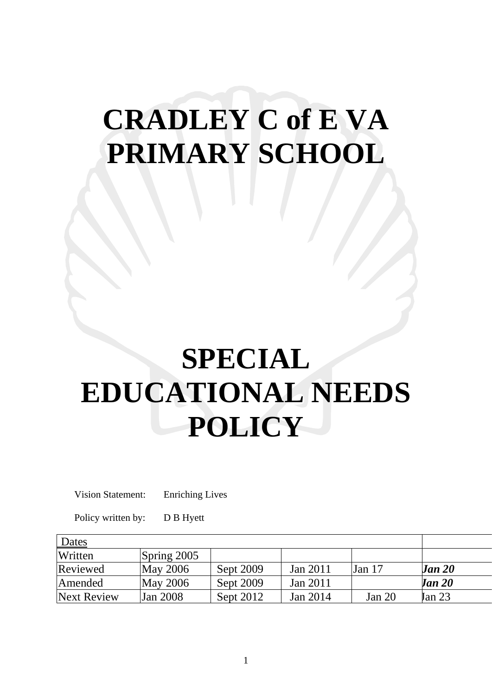# **CRADLEY C of E VA PRIMARY SCHOOL**

# **SPECIAL EDUCATIONAL NEEDS POLICY**

Vision Statement: Enriching Lives

Policy written by: D B Hyett

| Dates       |               |           |          |          |               |
|-------------|---------------|-----------|----------|----------|---------------|
| Written     | Spring $2005$ |           |          |          |               |
| Reviewed    | May 2006      | Sept 2009 | Jan 2011 | Jan $17$ | <b>Jan 20</b> |
| Amended     | May 2006      | Sept 2009 | Jan 2011 |          | <b>Jan 20</b> |
| Next Review | Jan 2008      | Sept 2012 | Jan 2014 | Jan $20$ | Tan 23        |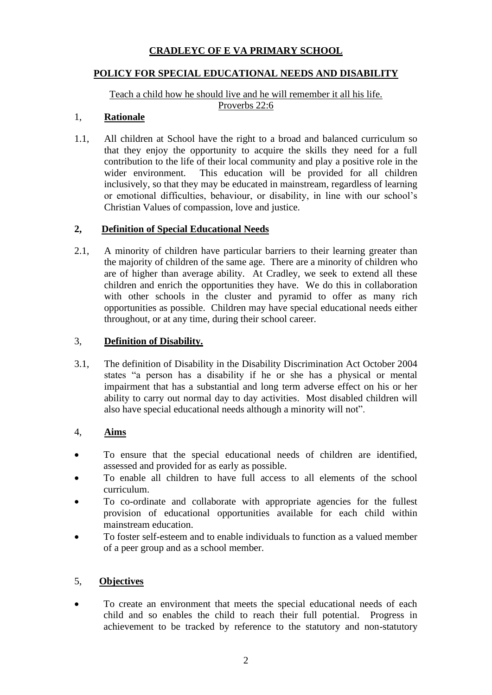# **CRADLEYC OF E VA PRIMARY SCHOOL**

#### **POLICY FOR SPECIAL EDUCATIONAL NEEDS AND DISABILITY**

Teach a child how he should live and he will remember it all his life. Proverbs 22:6

#### 1, **Rationale**

1.1, All children at School have the right to a broad and balanced curriculum so that they enjoy the opportunity to acquire the skills they need for a full contribution to the life of their local community and play a positive role in the wider environment. This education will be provided for all children inclusively, so that they may be educated in mainstream, regardless of learning or emotional difficulties, behaviour, or disability, in line with our school's Christian Values of compassion, love and justice.

#### **2, Definition of Special Educational Needs**

2.1, A minority of children have particular barriers to their learning greater than the majority of children of the same age. There are a minority of children who are of higher than average ability. At Cradley, we seek to extend all these children and enrich the opportunities they have. We do this in collaboration with other schools in the cluster and pyramid to offer as many rich opportunities as possible. Children may have special educational needs either throughout, or at any time, during their school career.

#### 3, **Definition of Disability.**

3.1, The definition of Disability in the Disability Discrimination Act October 2004 states "a person has a disability if he or she has a physical or mental impairment that has a substantial and long term adverse effect on his or her ability to carry out normal day to day activities. Most disabled children will also have special educational needs although a minority will not".

#### 4, **Aims**

- To ensure that the special educational needs of children are identified, assessed and provided for as early as possible.
- To enable all children to have full access to all elements of the school curriculum.
- To co-ordinate and collaborate with appropriate agencies for the fullest provision of educational opportunities available for each child within mainstream education.
- To foster self-esteem and to enable individuals to function as a valued member of a peer group and as a school member.

## 5, **Objectives**

• To create an environment that meets the special educational needs of each child and so enables the child to reach their full potential. Progress in achievement to be tracked by reference to the statutory and non-statutory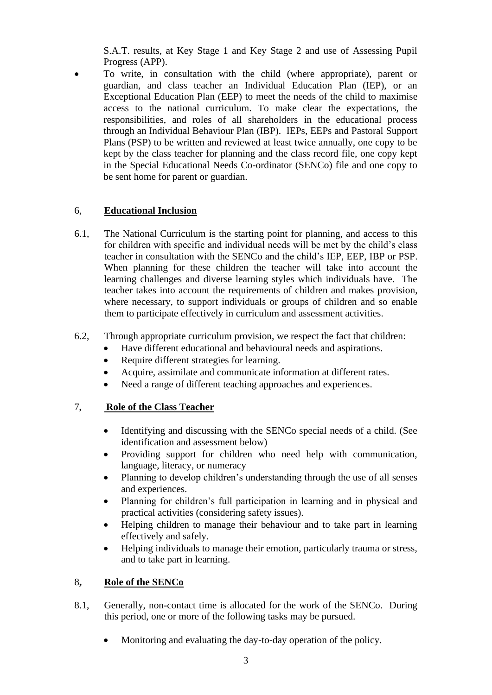S.A.T. results, at Key Stage 1 and Key Stage 2 and use of Assessing Pupil Progress (APP).

• To write, in consultation with the child (where appropriate), parent or guardian, and class teacher an Individual Education Plan (IEP), or an Exceptional Education Plan (EEP) to meet the needs of the child to maximise access to the national curriculum. To make clear the expectations, the responsibilities, and roles of all shareholders in the educational process through an Individual Behaviour Plan (IBP). IEPs, EEPs and Pastoral Support Plans (PSP) to be written and reviewed at least twice annually, one copy to be kept by the class teacher for planning and the class record file, one copy kept in the Special Educational Needs Co-ordinator (SENCo) file and one copy to be sent home for parent or guardian.

#### 6, **Educational Inclusion**

- 6.1, The National Curriculum is the starting point for planning, and access to this for children with specific and individual needs will be met by the child's class teacher in consultation with the SENCo and the child's IEP, EEP, IBP or PSP. When planning for these children the teacher will take into account the learning challenges and diverse learning styles which individuals have. The teacher takes into account the requirements of children and makes provision, where necessary, to support individuals or groups of children and so enable them to participate effectively in curriculum and assessment activities.
- 6.2, Through appropriate curriculum provision, we respect the fact that children:
	- Have different educational and behavioural needs and aspirations.
	- Require different strategies for learning.
	- Acquire, assimilate and communicate information at different rates.
	- Need a range of different teaching approaches and experiences.

#### 7**, Role of the Class Teacher**

- Identifying and discussing with the SENCo special needs of a child. (See identification and assessment below)
- Providing support for children who need help with communication, language, literacy, or numeracy
- Planning to develop children's understanding through the use of all senses and experiences.
- Planning for children's full participation in learning and in physical and practical activities (considering safety issues).
- Helping children to manage their behaviour and to take part in learning effectively and safely.
- Helping individuals to manage their emotion, particularly trauma or stress, and to take part in learning.

#### 8**, Role of the SENCo**

- 8.1, Generally, non-contact time is allocated for the work of the SENCo. During this period, one or more of the following tasks may be pursued.
	- Monitoring and evaluating the day-to-day operation of the policy.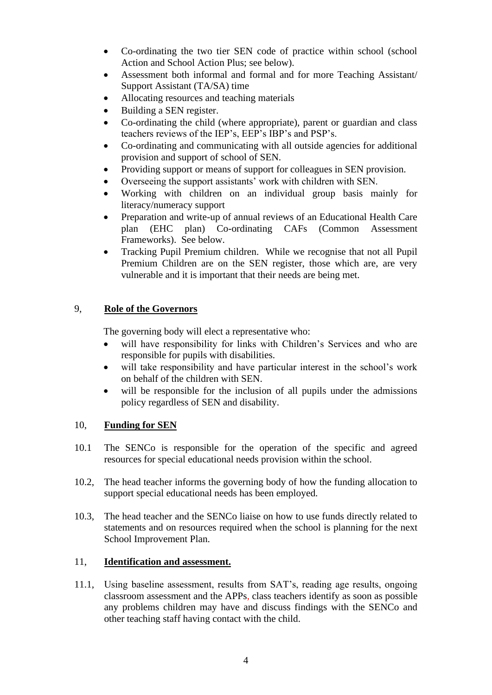- Co-ordinating the two tier SEN code of practice within school (school Action and School Action Plus; see below).
- Assessment both informal and formal and for more Teaching Assistant/ Support Assistant (TA/SA) time
- Allocating resources and teaching materials
- Building a SEN register.
- Co-ordinating the child (where appropriate), parent or guardian and class teachers reviews of the IEP's, EEP's IBP's and PSP's.
- Co-ordinating and communicating with all outside agencies for additional provision and support of school of SEN.
- Providing support or means of support for colleagues in SEN provision.
- Overseeing the support assistants' work with children with SEN.
- Working with children on an individual group basis mainly for literacy/numeracy support
- Preparation and write-up of annual reviews of an Educational Health Care plan (EHC plan) Co-ordinating CAFs (Common Assessment Frameworks). See below.
- Tracking Pupil Premium children. While we recognise that not all Pupil Premium Children are on the SEN register, those which are, are very vulnerable and it is important that their needs are being met.

#### 9, **Role of the Governors**

The governing body will elect a representative who:

- will have responsibility for links with Children's Services and who are responsible for pupils with disabilities.
- will take responsibility and have particular interest in the school's work on behalf of the children with SEN.
- will be responsible for the inclusion of all pupils under the admissions policy regardless of SEN and disability.

#### 10, **Funding for SEN**

- 10.1 The SENCo is responsible for the operation of the specific and agreed resources for special educational needs provision within the school.
- 10.2, The head teacher informs the governing body of how the funding allocation to support special educational needs has been employed.
- 10.3, The head teacher and the SENCo liaise on how to use funds directly related to statements and on resources required when the school is planning for the next School Improvement Plan.

#### 11, **Identification and assessment.**

11.1, Using baseline assessment, results from SAT's, reading age results, ongoing classroom assessment and the APPs, class teachers identify as soon as possible any problems children may have and discuss findings with the SENCo and other teaching staff having contact with the child.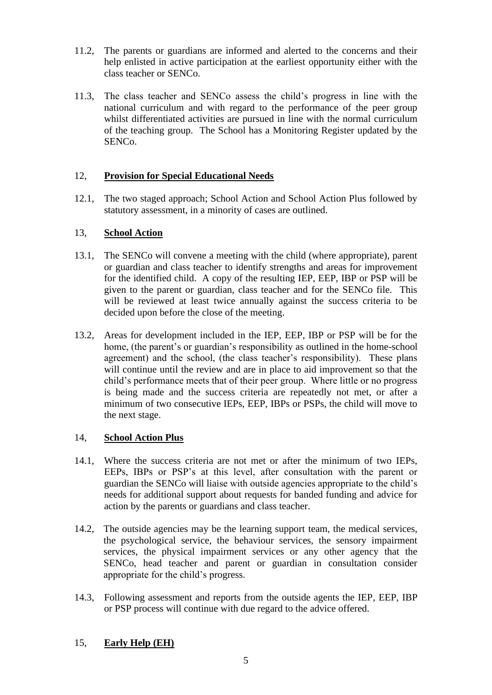- 11.2, The parents or guardians are informed and alerted to the concerns and their help enlisted in active participation at the earliest opportunity either with the class teacher or SENCo.
- 11.3, The class teacher and SENCo assess the child's progress in line with the national curriculum and with regard to the performance of the peer group whilst differentiated activities are pursued in line with the normal curriculum of the teaching group. The School has a Monitoring Register updated by the SENCo.

#### 12, **Provision for Special Educational Needs**

12.1, The two staged approach; School Action and School Action Plus followed by statutory assessment, in a minority of cases are outlined.

#### 13, **School Action**

- 13.1, The SENCo will convene a meeting with the child (where appropriate), parent or guardian and class teacher to identify strengths and areas for improvement for the identified child. A copy of the resulting IEP, EEP, IBP or PSP will be given to the parent or guardian, class teacher and for the SENCo file. This will be reviewed at least twice annually against the success criteria to be decided upon before the close of the meeting.
- 13.2, Areas for development included in the IEP, EEP, IBP or PSP will be for the home, (the parent's or guardian's responsibility as outlined in the home-school agreement) and the school, (the class teacher's responsibility). These plans will continue until the review and are in place to aid improvement so that the child's performance meets that of their peer group. Where little or no progress is being made and the success criteria are repeatedly not met, or after a minimum of two consecutive IEPs, EEP, IBPs or PSPs, the child will move to the next stage.

## 14, **School Action Plus**

- 14.1, Where the success criteria are not met or after the minimum of two IEPs, EEPs, IBPs or PSP's at this level, after consultation with the parent or guardian the SENCo will liaise with outside agencies appropriate to the child's needs for additional support about requests for banded funding and advice for action by the parents or guardians and class teacher.
- 14.2, The outside agencies may be the learning support team, the medical services, the psychological service, the behaviour services, the sensory impairment services, the physical impairment services or any other agency that the SENCo, head teacher and parent or guardian in consultation consider appropriate for the child's progress.
- 14.3, Following assessment and reports from the outside agents the IEP, EEP, IBP or PSP process will continue with due regard to the advice offered.

## 15, **Early Help (EH)**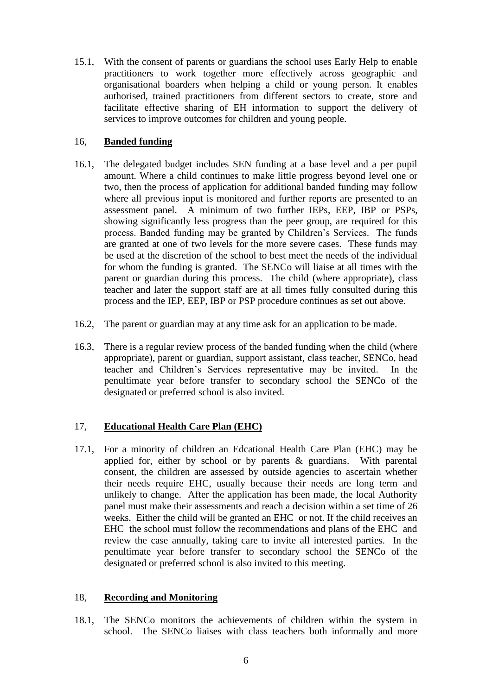15.1, With the consent of parents or guardians the school uses Early Help to enable practitioners to work together more effectively across geographic and organisational boarders when helping a child or young person. It enables authorised, trained practitioners from different sectors to create, store and facilitate effective sharing of EH information to support the delivery of services to improve outcomes for children and young people.

#### 16, **Banded funding**

- 16.1, The delegated budget includes SEN funding at a base level and a per pupil amount. Where a child continues to make little progress beyond level one or two, then the process of application for additional banded funding may follow where all previous input is monitored and further reports are presented to an assessment panel. A minimum of two further IEPs, EEP, IBP or PSPs, showing significantly less progress than the peer group, are required for this process. Banded funding may be granted by Children's Services. The funds are granted at one of two levels for the more severe cases. These funds may be used at the discretion of the school to best meet the needs of the individual for whom the funding is granted. The SENCo will liaise at all times with the parent or guardian during this process. The child (where appropriate), class teacher and later the support staff are at all times fully consulted during this process and the IEP, EEP, IBP or PSP procedure continues as set out above.
- 16.2, The parent or guardian may at any time ask for an application to be made.
- 16.3, There is a regular review process of the banded funding when the child (where appropriate), parent or guardian, support assistant, class teacher, SENCo, head teacher and Children's Services representative may be invited. In the penultimate year before transfer to secondary school the SENCo of the designated or preferred school is also invited.

#### 17, **Educational Health Care Plan (EHC)**

17.1, For a minority of children an Edcational Health Care Plan (EHC) may be applied for, either by school or by parents & guardians. With parental consent, the children are assessed by outside agencies to ascertain whether their needs require EHC, usually because their needs are long term and unlikely to change. After the application has been made, the local Authority panel must make their assessments and reach a decision within a set time of 26 weeks. Either the child will be granted an EHC or not. If the child receives an EHC the school must follow the recommendations and plans of the EHC and review the case annually, taking care to invite all interested parties. In the penultimate year before transfer to secondary school the SENCo of the designated or preferred school is also invited to this meeting.

#### 18, **Recording and Monitoring**

18.1, The SENCo monitors the achievements of children within the system in school. The SENCo liaises with class teachers both informally and more